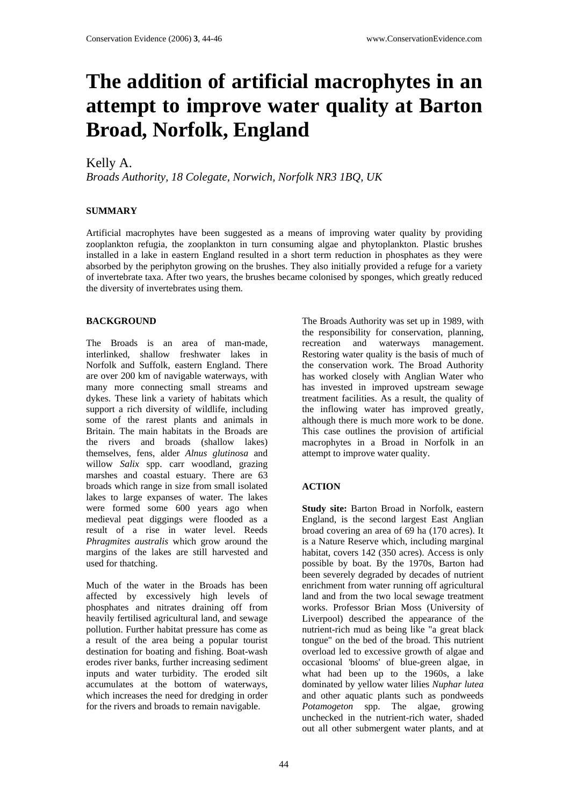# **The addition of artificial macrophytes in an attempt to improve water quality at Barton Broad, Norfolk, England**

## Kelly A.

*Broads Authority, 18 Colegate, Norwich, Norfolk NR3 1BQ, UK* 

### **SUMMARY**

Artificial macrophytes have been suggested as a means of improving water quality by providing zooplankton refugia, the zooplankton in turn consuming algae and phytoplankton. Plastic brushes installed in a lake in eastern England resulted in a short term reduction in phosphates as they were absorbed by the periphyton growing on the brushes. They also initially provided a refuge for a variety of invertebrate taxa. After two years, the brushes became colonised by sponges, which greatly reduced the diversity of invertebrates using them.

#### **BACKGROUND**

The Broads is an area of man-made, interlinked, shallow freshwater lakes in Norfolk and Suffolk, eastern England. There are over 200 km of navigable waterways, with many more connecting small streams and dykes. These link a variety of habitats which support a rich diversity of wildlife, including some of the rarest plants and animals in Britain. The main habitats in the Broads are the rivers and broads (shallow lakes) themselves, fens, alder *Alnus glutinosa* and willow *Salix* spp. carr woodland, grazing marshes and coastal estuary. There are 63 broads which range in size from small isolated lakes to large expanses of water. The lakes were formed some 600 years ago when medieval peat diggings were flooded as a result of a rise in water level. Reeds *Phragmites australis* which grow around the margins of the lakes are still harvested and used for thatching.

Much of the water in the Broads has been affected by excessively high levels of phosphates and nitrates draining off from heavily fertilised agricultural land, and sewage pollution. Further habitat pressure has come as a result of the area being a popular tourist destination for boating and fishing. Boat-wash erodes river banks, further increasing sediment inputs and water turbidity. The eroded silt accumulates at the bottom of waterways, which increases the need for dredging in order for the rivers and broads to remain navigable.

The Broads Authority was set up in 1989, with the responsibility for conservation, planning, recreation and waterways management. Restoring water quality is the basis of much of the conservation work. The Broad Authority has worked closely with Anglian Water who has invested in improved upstream sewage treatment facilities. As a result, the quality of the inflowing water has improved greatly, although there is much more work to be done. This case outlines the provision of artificial macrophytes in a Broad in Norfolk in an attempt to improve water quality.

## **ACTION**

**Study site:** Barton Broad in Norfolk, eastern England, is the second largest East Anglian broad covering an area of 69 ha (170 acres). It is a Nature Reserve which, including marginal habitat, covers 142 (350 acres). Access is only possible by boat. By the 1970s, Barton had been severely degraded by decades of nutrient enrichment from water running off agricultural land and from the two local sewage treatment works. Professor Brian Moss (University of Liverpool) described the appearance of the nutrient-rich mud as being like "a great black tongue" on the bed of the broad. This nutrient overload led to excessive growth of algae and occasional 'blooms' of blue-green algae, in what had been up to the 1960s, a lake dominated by yellow water lilies *Nuphar lutea* and other aquatic plants such as pondweeds *Potamogeton* spp. The algae, growing unchecked in the nutrient-rich water, shaded out all other submergent water plants, and at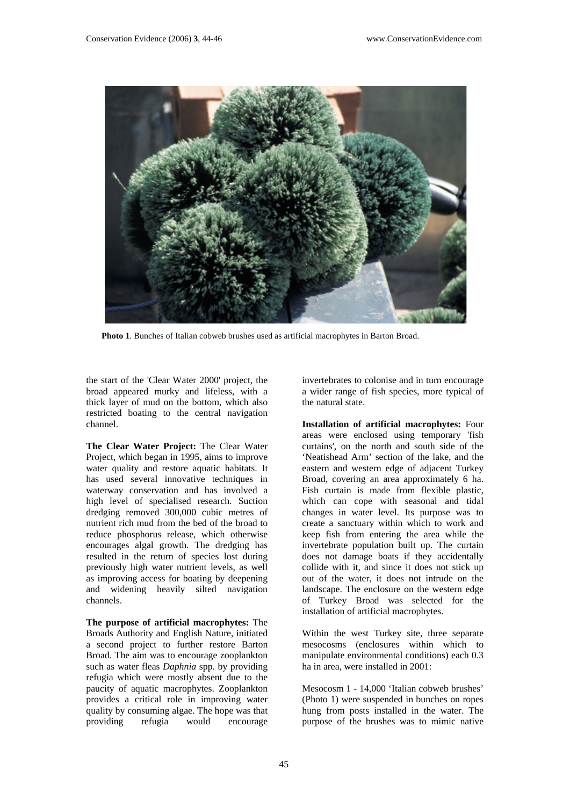

**Photo 1**. Bunches of Italian cobweb brushes used as artificial macrophytes in Barton Broad.

the start of the 'Clear Water 2000' project, the broad appeared murky and lifeless, with a thick layer of mud on the bottom, which also restricted boating to the central navigation channel.

**The Clear Water Project:** The Clear Water Project, which began in 1995, aims to improve water quality and restore aquatic habitats. It has used several innovative techniques in waterway conservation and has involved a high level of specialised research. Suction dredging removed 300,000 cubic metres of nutrient rich mud from the bed of the broad to reduce phosphorus release, which otherwise encourages algal growth. The dredging has resulted in the return of species lost during previously high water nutrient levels, as well as improving access for boating by deepening and widening heavily silted navigation channels.

**The purpose of artificial macrophytes:** The Broads Authority and English Nature, initiated a second project to further restore Barton Broad. The aim was to encourage zooplankton such as water fleas *Daphnia* spp. by providing refugia which were mostly absent due to the paucity of aquatic macrophytes. Zooplankton provides a critical role in improving water quality by consuming algae. The hope was that providing refugia would encourage

invertebrates to colonise and in turn encourage a wider range of fish species, more typical of the natural state.

**Installation of artificial macrophytes:** Four areas were enclosed using temporary 'fish curtains', on the north and south side of the 'Neatishead Arm' section of the lake, and the eastern and western edge of adjacent Turkey Broad, covering an area approximately 6 ha. Fish curtain is made from flexible plastic, which can cope with seasonal and tidal changes in water level. Its purpose was to create a sanctuary within which to work and keep fish from entering the area while the invertebrate population built up. The curtain does not damage boats if they accidentally collide with it, and since it does not stick up out of the water, it does not intrude on the landscape. The enclosure on the western edge of Turkey Broad was selected for the installation of artificial macrophytes.

Within the west Turkey site, three separate mesocosms (enclosures within which to manipulate environmental conditions) each 0.3 ha in area, were installed in 2001:

Mesocosm 1 - 14,000 'Italian cobweb brushes' (Photo 1) were suspended in bunches on ropes hung from posts installed in the water. The purpose of the brushes was to mimic native